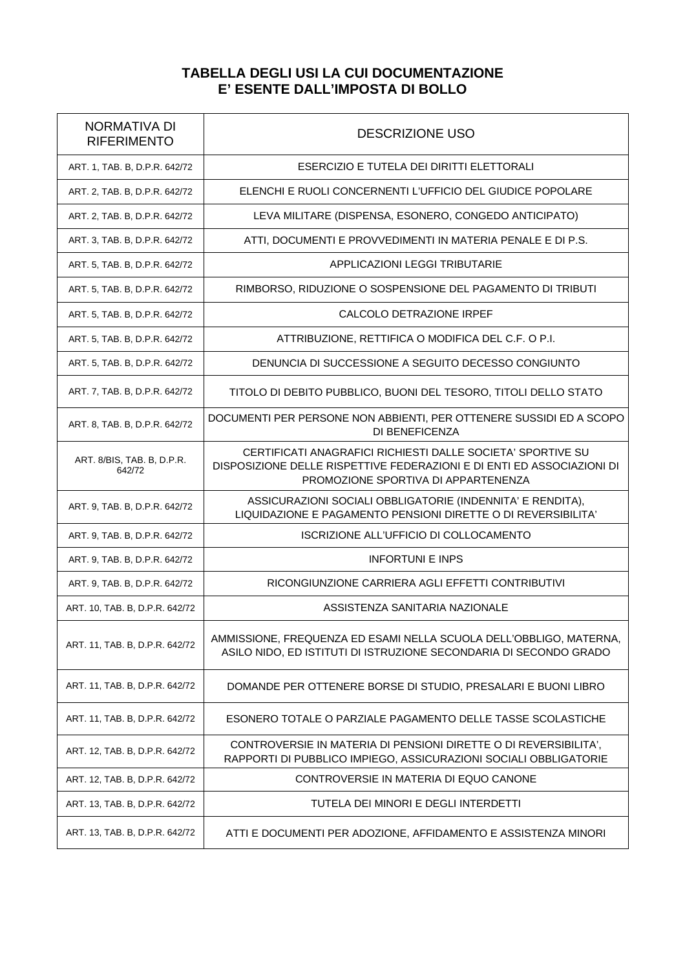## **TABELLA DEGLI USI LA CUI DOCUMENTAZIONE E' ESENTE DALL'IMPOSTA DI BOLLO**

| <b>NORMATIVA DI</b><br><b>RIFERIMENTO</b> | <b>DESCRIZIONE USO</b>                                                                                                                                                       |
|-------------------------------------------|------------------------------------------------------------------------------------------------------------------------------------------------------------------------------|
| ART. 1, TAB. B, D.P.R. 642/72             | ESERCIZIO E TUTELA DEI DIRITTI ELETTORALI                                                                                                                                    |
| ART. 2, TAB. B, D.P.R. 642/72             | ELENCHI E RUOLI CONCERNENTI L'UFFICIO DEL GIUDICE POPOLARE                                                                                                                   |
| ART. 2, TAB. B, D.P.R. 642/72             | LEVA MILITARE (DISPENSA, ESONERO, CONGEDO ANTICIPATO)                                                                                                                        |
| ART. 3, TAB. B, D.P.R. 642/72             | ATTI, DOCUMENTI E PROVVEDIMENTI IN MATERIA PENALE E DI P.S.                                                                                                                  |
| ART. 5, TAB. B, D.P.R. 642/72             | APPLICAZIONI LEGGI TRIBUTARIE                                                                                                                                                |
| ART. 5, TAB. B, D.P.R. 642/72             | RIMBORSO, RIDUZIONE O SOSPENSIONE DEL PAGAMENTO DI TRIBUTI                                                                                                                   |
| ART. 5, TAB. B, D.P.R. 642/72             | CALCOLO DETRAZIONE IRPEF                                                                                                                                                     |
| ART. 5, TAB. B, D.P.R. 642/72             | ATTRIBUZIONE, RETTIFICA O MODIFICA DEL C.F. O P.I.                                                                                                                           |
| ART. 5, TAB. B, D.P.R. 642/72             | DENUNCIA DI SUCCESSIONE A SEGUITO DECESSO CONGIUNTO                                                                                                                          |
| ART. 7, TAB. B, D.P.R. 642/72             | TITOLO DI DEBITO PUBBLICO, BUONI DEL TESORO, TITOLI DELLO STATO                                                                                                              |
| ART. 8, TAB. B, D.P.R. 642/72             | DOCUMENTI PER PERSONE NON ABBIENTI, PER OTTENERE SUSSIDI ED A SCOPO<br>DI BENEFICENZA                                                                                        |
| ART. 8/BIS, TAB. B, D.P.R.<br>642/72      | CERTIFICATI ANAGRAFICI RICHIESTI DALLE SOCIETA' SPORTIVE SU<br>DISPOSIZIONE DELLE RISPETTIVE FEDERAZIONI E DI ENTI ED ASSOCIAZIONI DI<br>PROMOZIONE SPORTIVA DI APPARTENENZA |
| ART. 9, TAB. B, D.P.R. 642/72             | ASSICURAZIONI SOCIALI OBBLIGATORIE (INDENNITA' E RENDITA),<br>LIQUIDAZIONE E PAGAMENTO PENSIONI DIRETTE O DI REVERSIBILITA'                                                  |
| ART. 9, TAB. B, D.P.R. 642/72             | ISCRIZIONE ALL'UFFICIO DI COLLOCAMENTO                                                                                                                                       |
| ART. 9, TAB. B, D.P.R. 642/72             | <b>INFORTUNI E INPS</b>                                                                                                                                                      |
| ART. 9, TAB. B, D.P.R. 642/72             | RICONGIUNZIONE CARRIERA AGLI EFFETTI CONTRIBUTIVI                                                                                                                            |
| ART. 10, TAB. B, D.P.R. 642/72            | ASSISTENZA SANITARIA NAZIONALE                                                                                                                                               |
| ART. 11, TAB. B, D.P.R. 642/72            | AMMISSIONE, FREQUENZA ED ESAMI NELLA SCUOLA DELL'OBBLIGO, MATERNA,<br>ASILO NIDO, ED ISTITUTI DI ISTRUZIONE SECONDARIA DI SECONDO GRADO                                      |
| ART. 11, TAB. B, D.P.R. 642/72            | DOMANDE PER OTTENERE BORSE DI STUDIO, PRESALARI E BUONI LIBRO                                                                                                                |
| ART. 11, TAB. B, D.P.R. 642/72            | ESONERO TOTALE O PARZIALE PAGAMENTO DELLE TASSE SCOLASTICHE                                                                                                                  |
| ART. 12, TAB. B, D.P.R. 642/72            | CONTROVERSIE IN MATERIA DI PENSIONI DIRETTE O DI REVERSIBILITA',<br>RAPPORTI DI PUBBLICO IMPIEGO, ASSICURAZIONI SOCIALI OBBLIGATORIE                                         |
| ART. 12, TAB. B, D.P.R. 642/72            | CONTROVERSIE IN MATERIA DI EQUO CANONE                                                                                                                                       |
| ART. 13, TAB. B, D.P.R. 642/72            | TUTELA DEI MINORI E DEGLI INTERDETTI                                                                                                                                         |
| ART. 13, TAB. B, D.P.R. 642/72            | ATTI E DOCUMENTI PER ADOZIONE, AFFIDAMENTO E ASSISTENZA MINORI                                                                                                               |